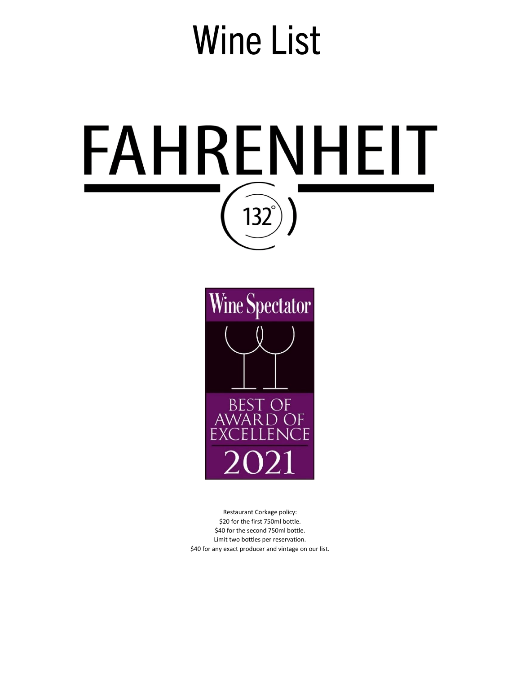# Wine List





Restaurant Corkage policy: \$20 for the first 750ml bottle. \$40 for the second 750ml bottle. Limit two bottles per reservation. \$40 for any exact producer and vintage on our list.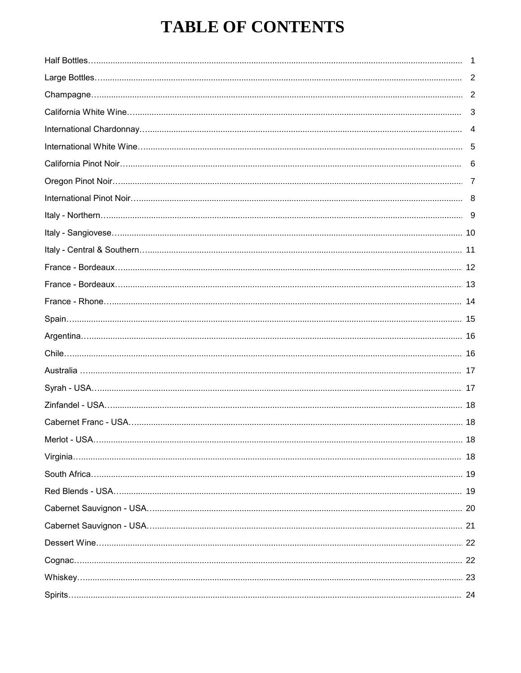## **TABLE OF CONTENTS**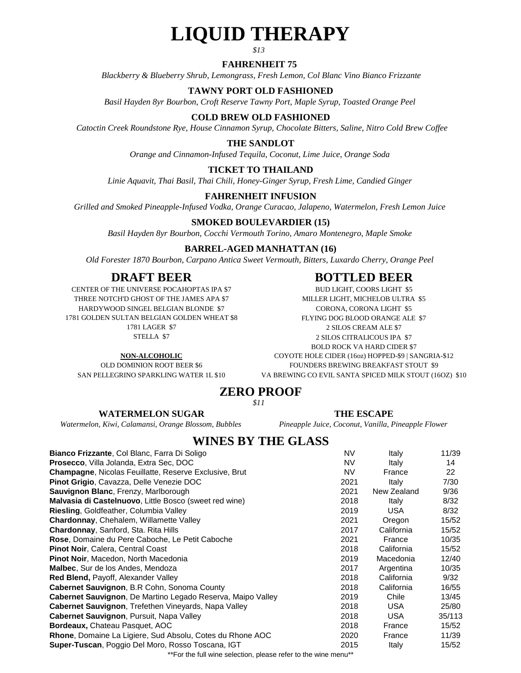## **LIQUID THERAPY**

*\$13*

#### **FAHRENHEIT 75**

*Blackberry & Blueberry Shrub, Lemongrass, Fresh Lemon, Col Blanc Vino Bianco Frizzante*

#### **TAWNY PORT OLD FASHIONED**

*Basil Hayden 8yr Bourbon, Croft Reserve Tawny Port, Maple Syrup, Toasted Orange Peel*

#### **COLD BREW OLD FASHIONED**

 *Catoctin Creek Roundstone Rye, House Cinnamon Syrup, Chocolate Bitters, Saline, Nitro Cold Brew Coffee*

#### **THE SANDLOT**

*Orange and Cinnamon-Infused Tequila, Coconut, Lime Juice, Orange Soda*

#### **TICKET TO THAILAND**

*Linie Aquavit, Thai Basil, Thai Chili, Honey-Ginger Syrup, Fresh Lime, Candied Ginger*

#### **FAHRENHEIT INFUSION**

*Grilled and Smoked Pineapple-Infused Vodka, Orange Curacao, Jalapeno, Watermelon, Fresh Lemon Juice*

#### **SMOKED BOULEVARDIER (15)**

*Basil Hayden 8yr Bourbon, Cocchi Vermouth Torino, Amaro Montenegro, Maple Smoke*

#### **BARREL-AGED MANHATTAN (16)**

*Old Forester 1870 Bourbon, Carpano Antica Sweet Vermouth, Bitters, Luxardo Cherry, Orange Peel*

#### **DRAFT BEER BOTTLED BEER**

STELLA \$7 CENTER OF THE UNIVERSE POCAHOPTAS IPA \$7 1781 LAGER \$7 THREE NOTCH'D GHOST OF THE JAMES APA \$7 MILLER LIGHT, MICHELOB ULTRA \$5 1781 GOLDEN SULTAN BELGIAN GOLDEN WHEAT \$8 HARDYWOOD SINGEL BELGIAN BLONDE \$7 CORONA, CORONA, CORONA LIGHT \$5

OLD DOMINION ROOT BEER \$6

#### BUD LIGHT, COORS LIGHT \$5

2 SILOS CREAM ALE \$7 BOLD ROCK VA HARD CIDER \$7 SAN PELLEGRINO SPARKLING WATER 1L \$10 VA BREWING CO EVIL SANTA SPICED MILK STOUT (16OZ) \$10 FLYING DOG BLOOD ORANGE ALE \$7 **NON-ALCOHOLIC** COYOTE HOLE CIDER (16oz) HOPPED-\$9 | SANGRIA-\$12 FOUNDERS BREWING BREAKFAST STOUT \$9 2 SILOS CITRALICOUS IPA \$7

#### **ZERO PROOF** *\$11*

#### **THE ESCAPE**

*Pineapple Juice, Coconut, Vanilla, Pineapple Flower*

#### **WATERMELON SUGAR**

*Watermelon, Kiwi, Calamansi, Orange Blossom, Bubbles*

#### **WINES BY THE GLASS**

| Bianco Frizzante, Col Blanc, Farra Di Soligo                                                                   | <b>NV</b> | Italy       | 11/39  |
|----------------------------------------------------------------------------------------------------------------|-----------|-------------|--------|
| <b>Prosecco, Villa Jolanda, Extra Sec, DOC</b>                                                                 | NV        | Italy       | 14     |
| <b>Champagne, Nicolas Feuillatte, Reserve Exclusive, Brut</b>                                                  | NV.       | France      | 22     |
| Pinot Grigio, Cavazza, Delle Venezie DOC                                                                       | 2021      | Italy       | 7/30   |
| Sauvignon Blanc, Frenzy, Marlborough                                                                           | 2021      | New Zealand | 9/36   |
| Malvasia di Castelnuovo, Little Bosco (sweet red wine)                                                         | 2018      | Italy       | 8/32   |
| Riesling, Goldfeather, Columbia Valley                                                                         | 2019      | USA.        | 8/32   |
| Chardonnay, Chehalem, Willamette Valley                                                                        | 2021      | Oregon      | 15/52  |
| Chardonnay, Sanford, Sta. Rita Hills                                                                           | 2017      | California  | 15/52  |
| Rose, Domaine du Pere Caboche, Le Petit Caboche                                                                | 2021      | France      | 10/35  |
| Pinot Noir, Calera, Central Coast                                                                              | 2018      | California  | 15/52  |
| <b>Pinot Noir, Macedon, North Macedonia</b>                                                                    | 2019      | Macedonia   | 12/40  |
| <b>Malbec.</b> Sur de los Andes, Mendoza                                                                       | 2017      | Argentina   | 10/35  |
| <b>Red Blend, Payoff, Alexander Valley</b>                                                                     | 2018      | California  | 9/32   |
| Cabernet Sauvignon, B.R Cohn, Sonoma County                                                                    | 2018      | California  | 16/55  |
| Cabernet Sauvignon, De Martino Legado Reserva, Maipo Valley                                                    | 2019      | Chile       | 13/45  |
| <b>Cabernet Sauvignon, Trefethen Vinevards, Napa Valley</b>                                                    | 2018      | <b>USA</b>  | 25/80  |
| <b>Cabernet Sauvignon, Pursuit, Napa Valley</b>                                                                | 2018      | <b>USA</b>  | 35/113 |
| Bordeaux, Chateau Pasquet, AOC                                                                                 | 2018      | France      | 15/52  |
| Rhone, Domaine La Ligiere, Sud Absolu, Cotes du Rhone AOC                                                      | 2020      | France      | 11/39  |
| Super-Tuscan, Poggio Del Moro, Rosso Toscana, IGT                                                              | 2015      | Italy       | 15/52  |
| . ♦♦ Figure Alger Additionations in production of the continue of the continue of the continue of the continue |           |             |        |

\*For the full wine selection, please refer to the wine menu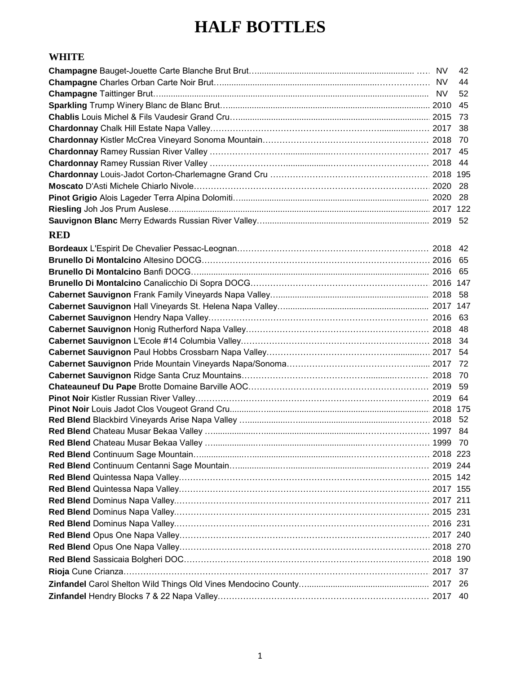#### **HALF BOTTLES**

#### **WHITE**

| <b>RED</b> |            |
|------------|------------|
|            |            |
|            |            |
|            |            |
|            |            |
|            |            |
|            |            |
|            |            |
|            |            |
|            |            |
|            |            |
|            |            |
|            |            |
|            |            |
|            |            |
|            |            |
|            |            |
|            |            |
|            |            |
|            |            |
|            |            |
|            | . 2019 244 |
|            |            |
|            |            |
|            |            |
|            |            |
|            |            |
|            |            |
|            |            |
|            |            |
|            |            |
|            |            |
|            |            |
|            |            |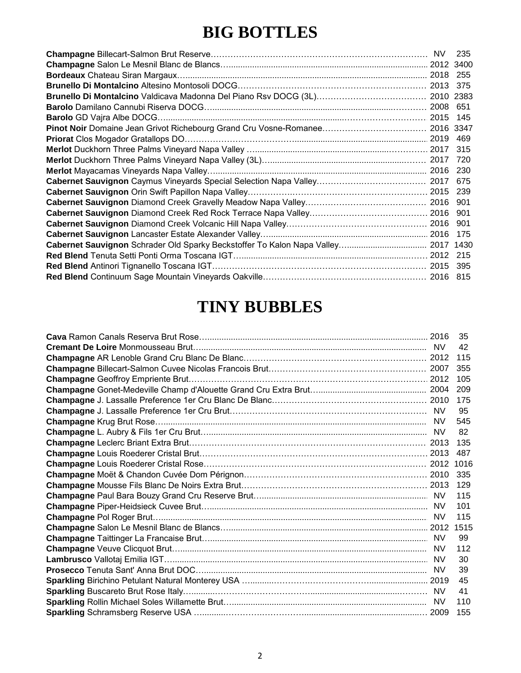## **BIG BOTTLES**

| Cabernet Sauvignon Schrader Old Sparky Beckstoffer To Kalon Napa Valley 2017 1430 |  |  |
|-----------------------------------------------------------------------------------|--|--|
|                                                                                   |  |  |
|                                                                                   |  |  |
|                                                                                   |  |  |

#### **TINY BUBBLES**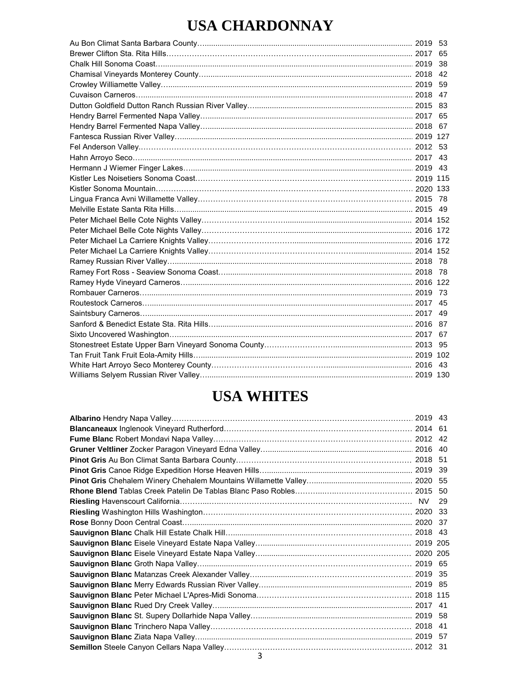#### **USA CHARDONNAY**

|  | 38  |
|--|-----|
|  |     |
|  |     |
|  |     |
|  |     |
|  |     |
|  |     |
|  |     |
|  |     |
|  |     |
|  |     |
|  |     |
|  |     |
|  |     |
|  |     |
|  |     |
|  |     |
|  |     |
|  |     |
|  |     |
|  |     |
|  |     |
|  |     |
|  |     |
|  |     |
|  |     |
|  |     |
|  |     |
|  |     |
|  | -43 |
|  |     |
|  |     |

#### **USA WHITES**

|   | -39 |
|---|-----|
|   |     |
|   |     |
|   | 29  |
|   | -33 |
|   | -37 |
|   |     |
|   |     |
|   |     |
|   |     |
|   |     |
|   |     |
|   |     |
|   |     |
|   |     |
|   |     |
|   | .57 |
|   | -31 |
| 3 |     |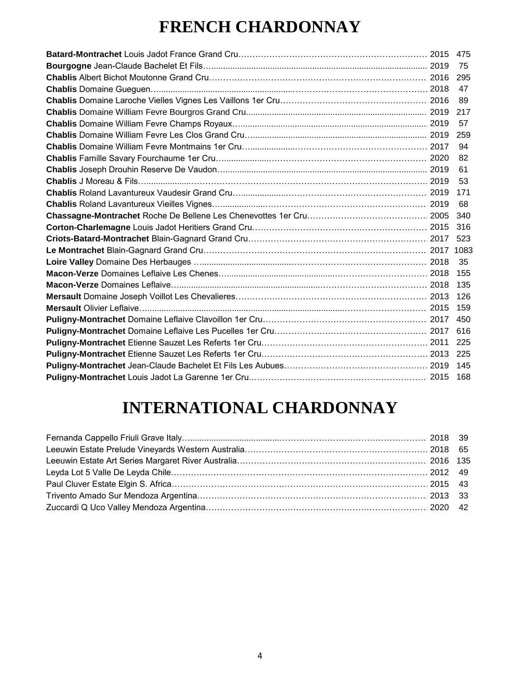## **FRENCH CHARDONNAY**

|  | -82 |
|--|-----|
|  | -61 |
|  |     |
|  | 171 |
|  |     |
|  |     |
|  |     |
|  |     |
|  |     |
|  |     |
|  |     |
|  |     |
|  |     |
|  |     |
|  |     |
|  |     |
|  |     |
|  |     |
|  |     |
|  |     |
|  |     |

## **INTERNATIONAL CHARDONNAY**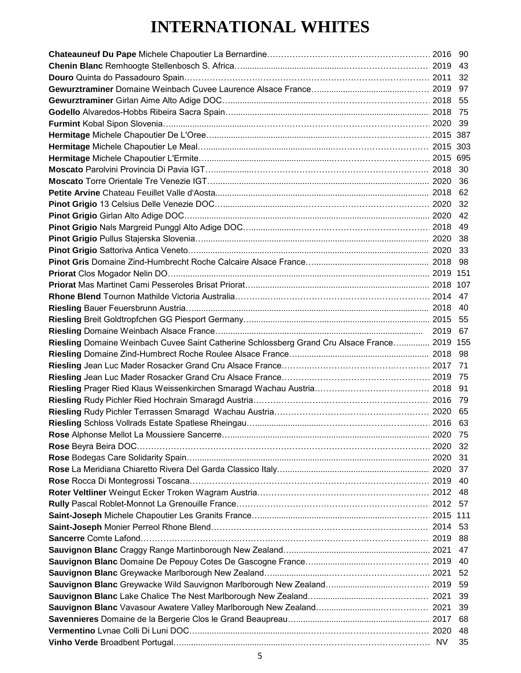## **INTERNATIONAL WHITES**

| Riesling Domaine Weinbach Cuvee Saint Catherine Schlossberg Grand Cru Alsace France 2019 155 |      |  |
|----------------------------------------------------------------------------------------------|------|--|
|                                                                                              |      |  |
|                                                                                              |      |  |
|                                                                                              |      |  |
|                                                                                              |      |  |
|                                                                                              |      |  |
|                                                                                              |      |  |
|                                                                                              |      |  |
|                                                                                              |      |  |
|                                                                                              |      |  |
|                                                                                              |      |  |
|                                                                                              |      |  |
|                                                                                              |      |  |
|                                                                                              |      |  |
|                                                                                              |      |  |
|                                                                                              |      |  |
|                                                                                              |      |  |
|                                                                                              |      |  |
|                                                                                              |      |  |
|                                                                                              |      |  |
|                                                                                              | - 40 |  |
|                                                                                              | -52  |  |
|                                                                                              | -59  |  |
|                                                                                              | -39  |  |
|                                                                                              | -39  |  |
|                                                                                              |      |  |
|                                                                                              |      |  |
|                                                                                              | -48  |  |
|                                                                                              |      |  |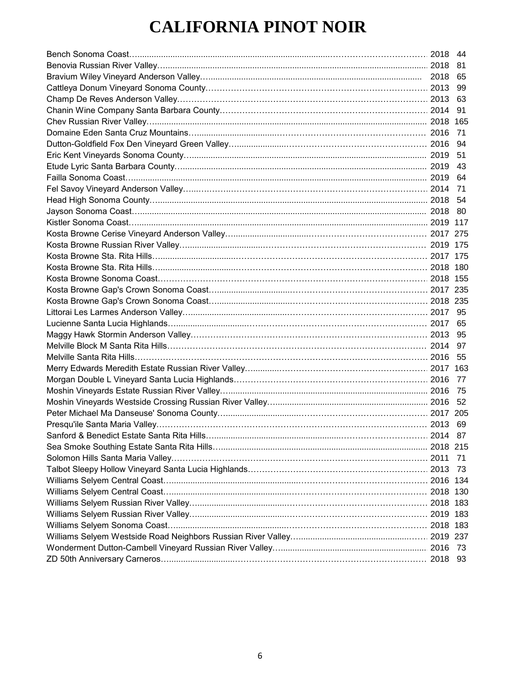## **CALIFORNIA PINOT NOIR**

|                                                                                  | 2018 44 |      |
|----------------------------------------------------------------------------------|---------|------|
|                                                                                  |         |      |
|                                                                                  |         |      |
|                                                                                  |         |      |
|                                                                                  |         |      |
|                                                                                  |         |      |
|                                                                                  |         |      |
|                                                                                  |         |      |
|                                                                                  |         |      |
|                                                                                  |         |      |
|                                                                                  |         |      |
|                                                                                  |         |      |
|                                                                                  |         |      |
|                                                                                  |         |      |
|                                                                                  |         |      |
|                                                                                  |         |      |
|                                                                                  |         |      |
|                                                                                  |         |      |
|                                                                                  |         |      |
|                                                                                  |         |      |
|                                                                                  |         |      |
|                                                                                  |         |      |
|                                                                                  |         |      |
|                                                                                  |         |      |
|                                                                                  |         |      |
|                                                                                  |         |      |
|                                                                                  |         |      |
|                                                                                  |         |      |
|                                                                                  |         |      |
|                                                                                  |         |      |
| Moshin Vineyards Estate Russian River Valley………………………………………………………………………………… 2016 |         | - 75 |
|                                                                                  |         |      |
|                                                                                  |         |      |
|                                                                                  |         |      |
|                                                                                  |         |      |
|                                                                                  |         |      |
|                                                                                  |         | 71   |
|                                                                                  |         |      |
|                                                                                  |         |      |
|                                                                                  |         |      |
|                                                                                  |         |      |
|                                                                                  |         |      |
|                                                                                  |         |      |
|                                                                                  |         |      |
|                                                                                  |         |      |
|                                                                                  |         |      |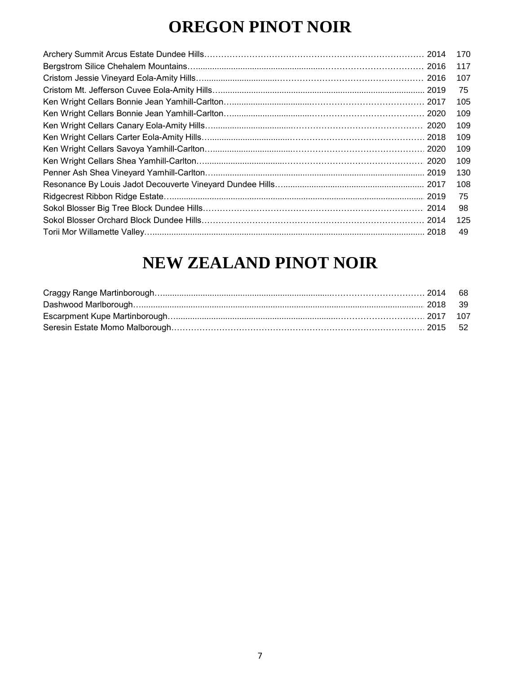## **OREGON PINOT NOIR**

| 170 |
|-----|
| 117 |
| 107 |
| 75  |
| 105 |
| 109 |
| 109 |
| 109 |
| 109 |
| 109 |
| 130 |
|     |
| 75  |
| 98  |
| 125 |
| 49  |
|     |

## **NEW ZEALAND PINOT NOIR**

|                                | 68 |
|--------------------------------|----|
| Dashwood Marlborough.          | 39 |
|                                |    |
| Seresin Estate Momo Malborough |    |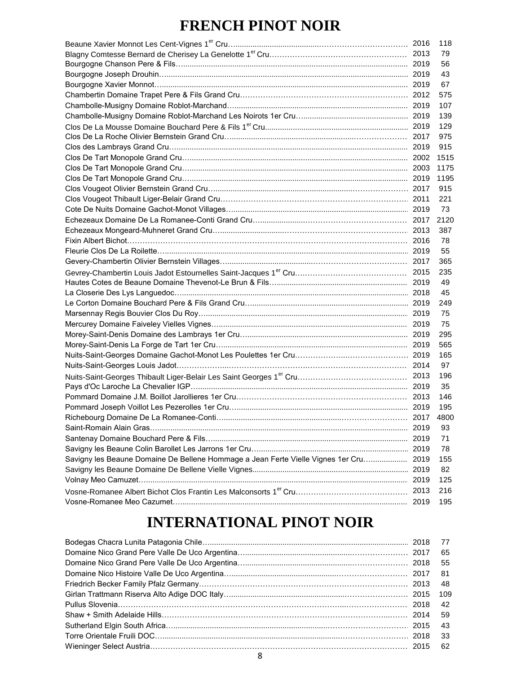#### **FRENCH PINOT NOIR**

|                                                                                  |      | 118  |
|----------------------------------------------------------------------------------|------|------|
|                                                                                  |      | 79   |
|                                                                                  |      | 56   |
|                                                                                  |      | 43   |
|                                                                                  |      | 67   |
|                                                                                  |      | 575  |
|                                                                                  |      | 107  |
|                                                                                  |      | 139  |
|                                                                                  |      | 129  |
|                                                                                  |      | 975  |
|                                                                                  |      | 915  |
|                                                                                  |      | 1515 |
|                                                                                  |      | 1175 |
|                                                                                  |      | 1195 |
|                                                                                  |      | 915  |
|                                                                                  |      | 221  |
|                                                                                  |      | 73   |
|                                                                                  |      | 2120 |
|                                                                                  |      | 387  |
|                                                                                  |      | 78   |
|                                                                                  |      | 55   |
|                                                                                  |      | 365  |
|                                                                                  |      | 235  |
|                                                                                  |      | 49   |
|                                                                                  |      | 45   |
|                                                                                  |      | 249  |
|                                                                                  |      | 75   |
|                                                                                  |      | 75   |
|                                                                                  |      | 295  |
|                                                                                  |      | 565  |
|                                                                                  |      | 165  |
|                                                                                  |      | 97   |
|                                                                                  |      | 196  |
|                                                                                  |      | 35   |
|                                                                                  |      | 146  |
|                                                                                  |      | 195  |
|                                                                                  |      | 4800 |
|                                                                                  |      | 93   |
|                                                                                  |      | 71   |
|                                                                                  |      | 78   |
| Savigny les Beaune Domaine De Bellene Hommage a Jean Ferte Vielle Vignes 1er Cru | 2019 | 155  |
|                                                                                  |      | 82   |
|                                                                                  |      | 125  |
|                                                                                  | 2013 | 216  |
|                                                                                  |      | 195  |
|                                                                                  |      |      |

#### **INTERNATIONAL PINOT NOIR**

|  | - 77 |
|--|------|
|  | 65   |
|  | 55   |
|  | -81  |
|  | 48   |
|  |      |
|  | 42   |
|  | 59   |
|  | 43   |
|  | - 33 |
|  |      |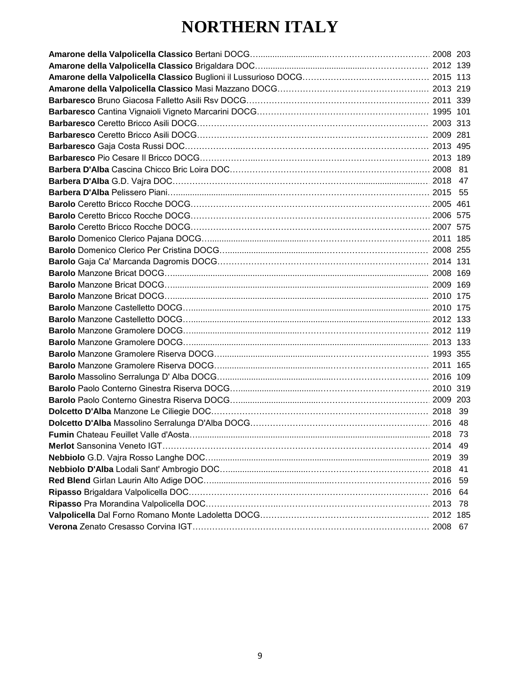## **NORTHERN ITALY**

|  | -49 |
|--|-----|
|  | -39 |
|  |     |
|  |     |
|  |     |
|  |     |
|  |     |
|  |     |
|  |     |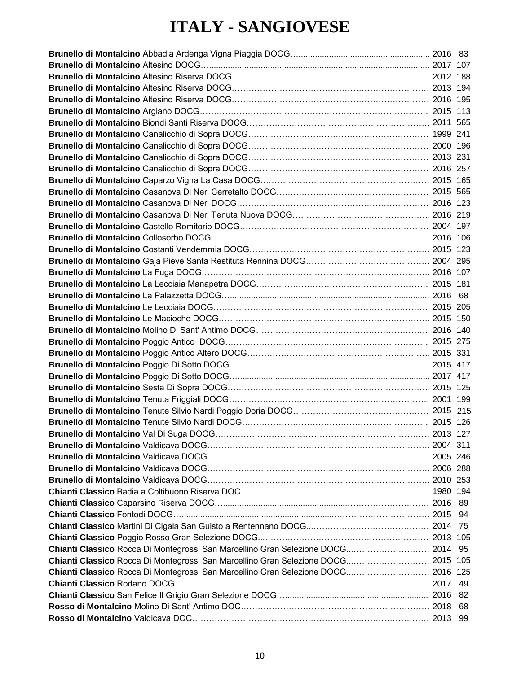#### **ITALY - SANGIOVESE**

| Chianti Classico Rocca Di Montegrossi San Marcellino Gran Selezione DOCG 2014 95  |  |
|-----------------------------------------------------------------------------------|--|
| Chianti Classico Rocca Di Montegrossi San Marcellino Gran Selezione DOCG 2015 105 |  |
| Chianti Classico Rocca Di Montegrossi San Marcellino Gran Selezione DOCG 2016 125 |  |
|                                                                                   |  |
|                                                                                   |  |
|                                                                                   |  |
|                                                                                   |  |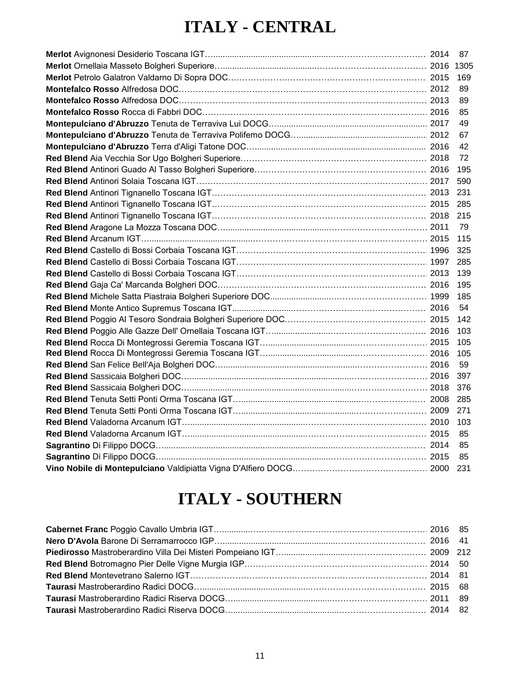## **ITALY - CENTRAL**

|  | 89   |
|--|------|
|  | 89   |
|  | -85  |
|  | -49  |
|  | 67   |
|  | -42  |
|  | - 72 |
|  |      |
|  |      |
|  |      |
|  |      |
|  |      |
|  |      |
|  |      |
|  |      |
|  |      |
|  |      |
|  |      |
|  |      |
|  |      |
|  |      |
|  |      |
|  |      |
|  |      |
|  |      |
|  |      |
|  |      |
|  |      |
|  |      |
|  |      |
|  |      |
|  |      |
|  |      |
|  |      |

## **ITALY - SOUTHERN**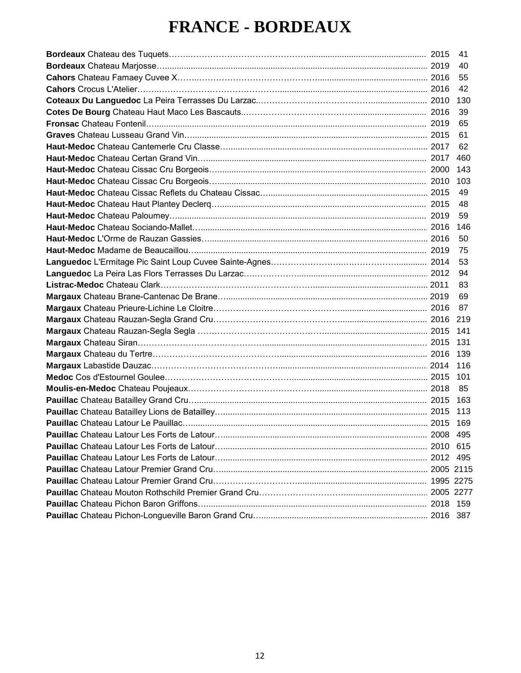## **FRANCE - BORDEAUX**

|  | 41   |
|--|------|
|  | 40   |
|  | 55   |
|  | 42   |
|  | 130  |
|  | 39   |
|  | 65   |
|  | 61   |
|  | 62   |
|  | 460  |
|  | 143  |
|  | 103  |
|  | 49   |
|  | 48   |
|  | 59   |
|  | 146  |
|  | 50   |
|  | 75   |
|  | 53   |
|  | 94   |
|  | 83   |
|  | 69   |
|  | 87   |
|  |      |
|  | 141  |
|  | 131  |
|  | 139  |
|  | 116  |
|  | 101  |
|  | 85   |
|  | 163  |
|  | 113  |
|  | -169 |
|  | 495  |
|  | 615  |
|  |      |
|  |      |
|  |      |
|  |      |
|  | 159  |
|  | -387 |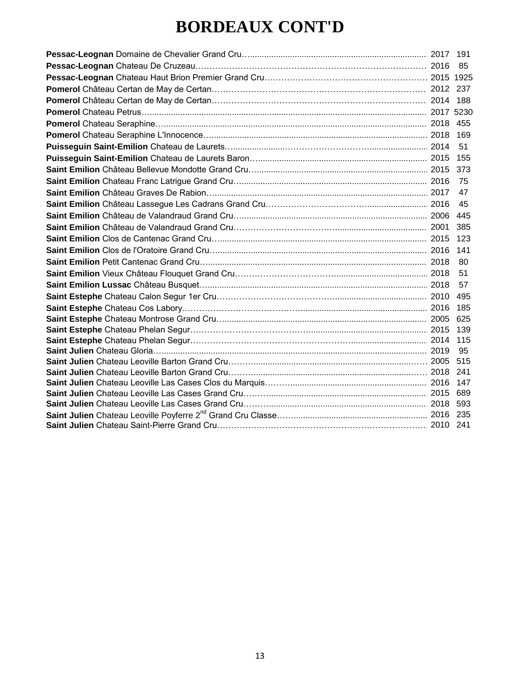#### **BORDEAUX CONT'D**

|  | 169        |
|--|------------|
|  | 51         |
|  | 155        |
|  |            |
|  | 75         |
|  | 47         |
|  | 45         |
|  |            |
|  | 385        |
|  | 123        |
|  | 141        |
|  | 80         |
|  | 51         |
|  | 57         |
|  | 495        |
|  |            |
|  |            |
|  |            |
|  | 115        |
|  | 95         |
|  | 515        |
|  | 241        |
|  | 147        |
|  | 689<br>593 |
|  |            |
|  |            |
|  |            |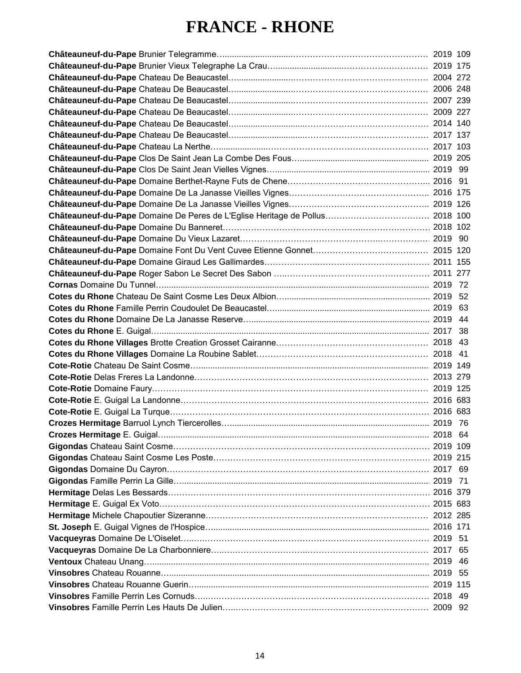#### **FRANCE - RHONE**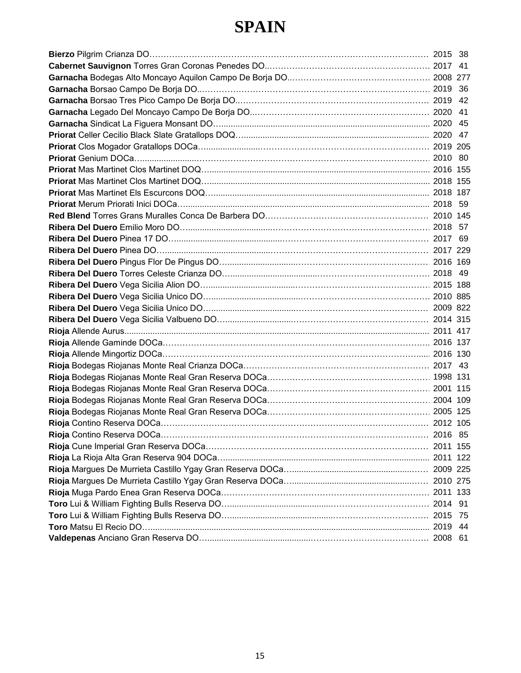#### **SPAIN**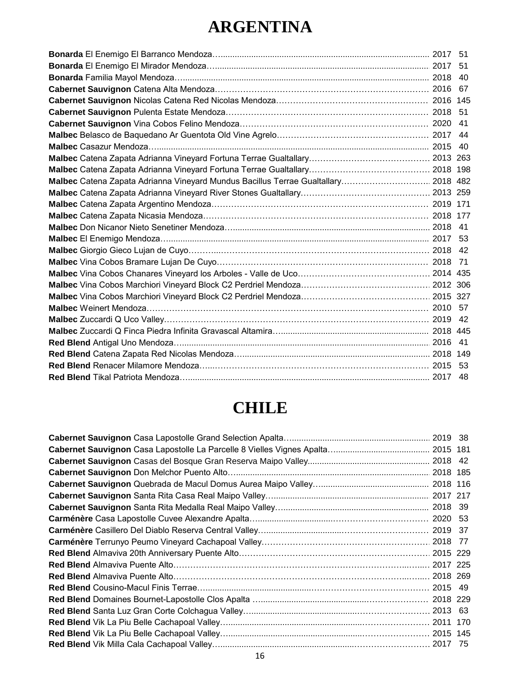## **ARGENTINA**

| Malbec Catena Zapata Adrianna Vineyard Mundus Bacillus Terrae Gualtallary 2018 482 |  |
|------------------------------------------------------------------------------------|--|
|                                                                                    |  |
|                                                                                    |  |
|                                                                                    |  |
|                                                                                    |  |
|                                                                                    |  |
|                                                                                    |  |
|                                                                                    |  |
|                                                                                    |  |
|                                                                                    |  |
|                                                                                    |  |
|                                                                                    |  |
|                                                                                    |  |
|                                                                                    |  |
|                                                                                    |  |
|                                                                                    |  |
|                                                                                    |  |
|                                                                                    |  |
|                                                                                    |  |

## **CHILE**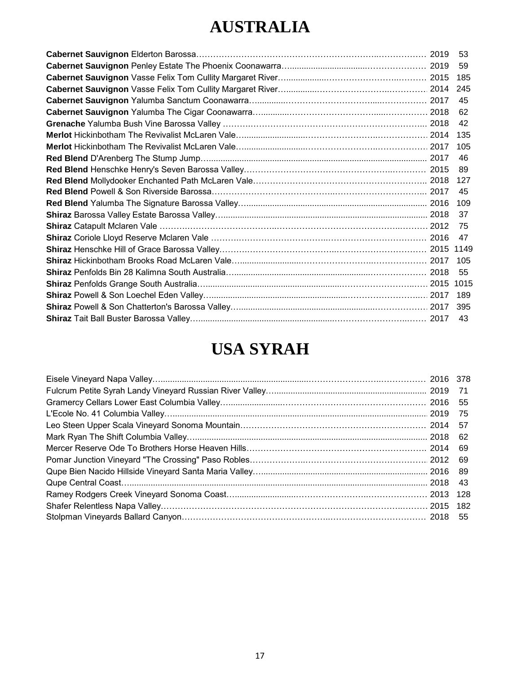## **AUSTRALIA**

|  | -46  |
|--|------|
|  | - 89 |
|  |      |
|  | -45  |
|  |      |
|  |      |
|  | - 75 |
|  |      |
|  |      |
|  |      |
|  |      |
|  |      |
|  |      |
|  |      |
|  |      |
|  |      |

## **USA SYRAH**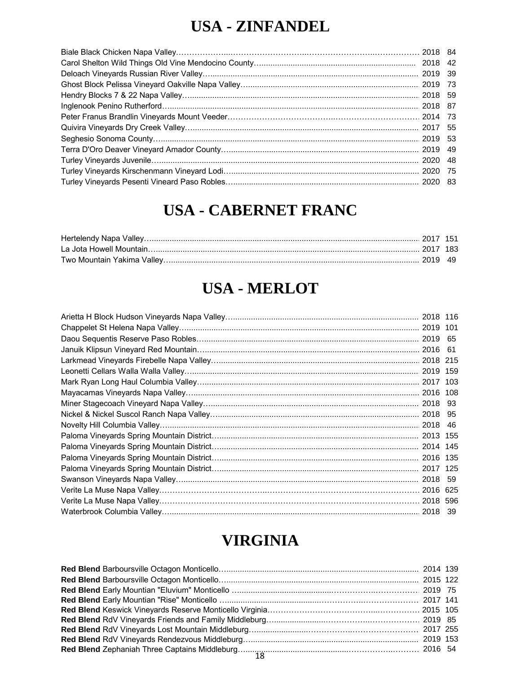#### **USA - ZINFANDEL**

#### **USA - CABERNET FRANC**

#### **USA - MERLOT**

|                                                             | 2018 116 |  |
|-------------------------------------------------------------|----------|--|
|                                                             | 2019 101 |  |
|                                                             |          |  |
|                                                             |          |  |
|                                                             |          |  |
|                                                             | 2019 159 |  |
|                                                             | 2017 103 |  |
|                                                             | 2016 108 |  |
|                                                             | 2018 93  |  |
|                                                             | 2018 95  |  |
|                                                             | 2018 46  |  |
|                                                             | 2013 155 |  |
|                                                             | 2014 145 |  |
|                                                             | 2016 135 |  |
|                                                             | 2017 125 |  |
|                                                             | 2018 59  |  |
|                                                             | 2016 625 |  |
| Verite La Muse Napa Valley……………………………………………………………………………………… | 2018 596 |  |
|                                                             | 2018 39  |  |

#### **VIRGINIA**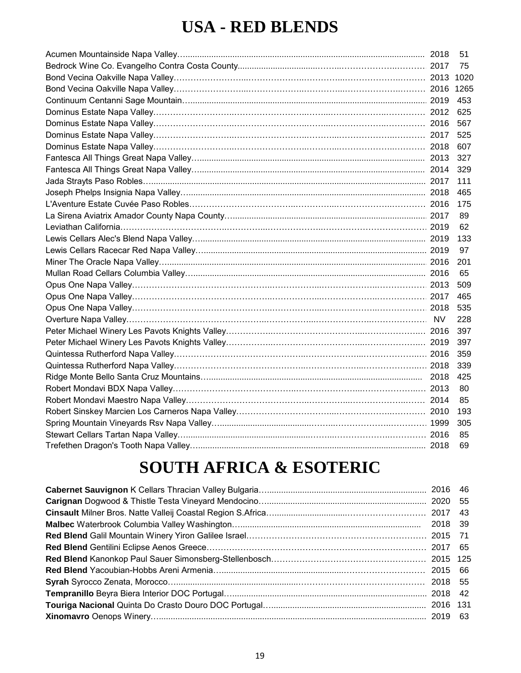#### **USA - RED BLENDS**

|  | 51   |
|--|------|
|  | -75  |
|  |      |
|  |      |
|  |      |
|  |      |
|  |      |
|  |      |
|  | 607  |
|  |      |
|  |      |
|  |      |
|  | 465  |
|  |      |
|  | -89  |
|  | 62   |
|  | 133  |
|  | 97   |
|  | -201 |
|  | 65   |
|  |      |
|  |      |
|  | 535  |
|  | 228  |
|  |      |
|  |      |
|  |      |
|  |      |
|  |      |
|  | -80  |
|  | 85   |
|  |      |
|  |      |
|  | 85   |
|  |      |
|  |      |

## **SOUTH AFRICA & ESOTERIC**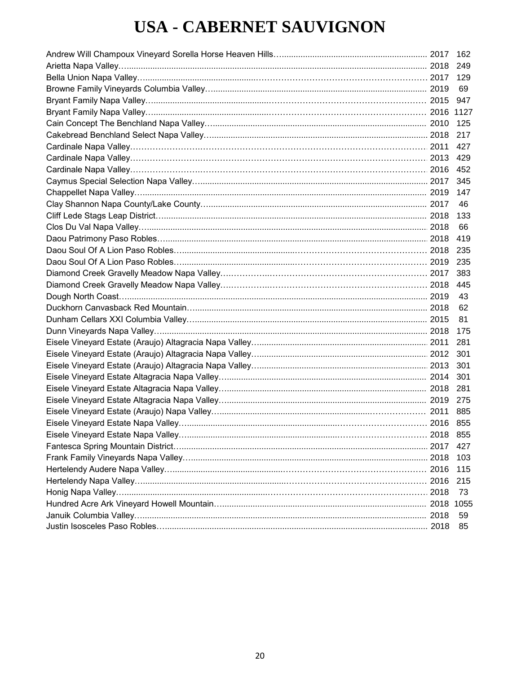## **USA - CABERNET SAUVIGNON**

|      | 162   |
|------|-------|
|      | 249   |
|      |       |
|      | -69   |
|      | 947   |
|      |       |
|      | 125   |
|      | 217   |
|      | 427   |
|      | 429   |
|      |       |
|      | 345   |
|      | 147   |
|      | 46    |
|      | 133   |
|      | 66    |
|      | 419   |
|      | 235   |
|      | - 235 |
|      | 383   |
|      | 445   |
|      | 43    |
|      | 62    |
|      | 81    |
|      | 175   |
|      | 281   |
|      |       |
|      | 301   |
|      | 301   |
|      | 281   |
|      | 275   |
|      | 885   |
|      |       |
|      |       |
|      | 427   |
|      | 103   |
|      | 115   |
|      | 215   |
| 2018 | 73    |
|      |       |
|      | 59    |
|      | 85    |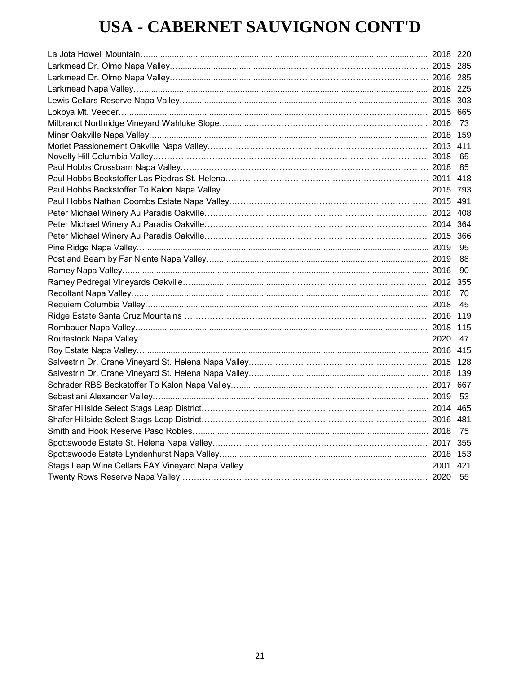## **USA - CABERNET SAUVIGNON CONT'D**

|  | - 90 |
|--|------|
|  |      |
|  | - 70 |
|  |      |
|  |      |
|  |      |
|  |      |
|  |      |
|  |      |
|  |      |
|  |      |
|  |      |
|  |      |
|  |      |
|  |      |
|  |      |
|  |      |
|  |      |
|  |      |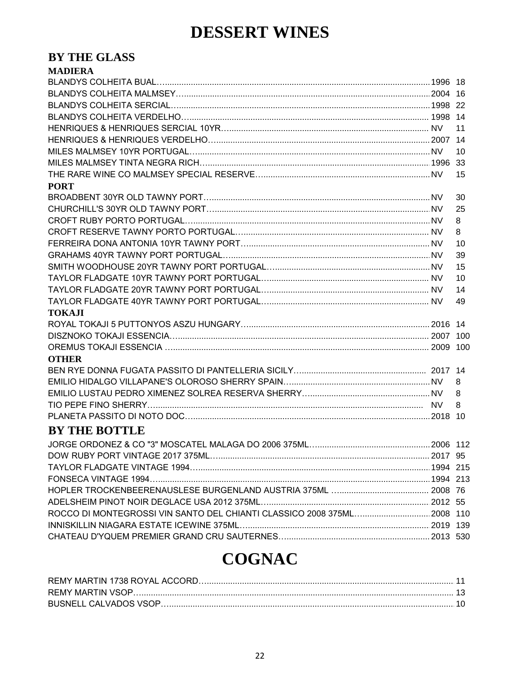#### **DESSERT WINES**

#### BY THE GLASS **MADIEDA**

| MADIERA                                                                 |    |
|-------------------------------------------------------------------------|----|
|                                                                         |    |
|                                                                         |    |
|                                                                         |    |
|                                                                         |    |
|                                                                         | 11 |
|                                                                         |    |
|                                                                         | 10 |
|                                                                         |    |
|                                                                         | 15 |
| <b>PORT</b>                                                             |    |
|                                                                         | 30 |
|                                                                         | 25 |
|                                                                         | 8  |
|                                                                         | 8  |
|                                                                         | 10 |
|                                                                         | 39 |
|                                                                         | 15 |
|                                                                         | 10 |
|                                                                         | 14 |
|                                                                         | 49 |
| <b>TOKAJI</b>                                                           |    |
|                                                                         |    |
|                                                                         |    |
|                                                                         |    |
| <b>OTHER</b>                                                            |    |
|                                                                         |    |
|                                                                         | 8  |
|                                                                         | 8  |
|                                                                         | 8  |
|                                                                         |    |
| <b>BY THE BOTTLE</b>                                                    |    |
|                                                                         |    |
|                                                                         |    |
|                                                                         |    |
|                                                                         |    |
|                                                                         |    |
|                                                                         |    |
| ROCCO DI MONTEGROSSI VIN SANTO DEL CHIANTI CLASSICO 2008 375ML 2008 110 |    |
|                                                                         |    |
|                                                                         |    |

## **COGNAC**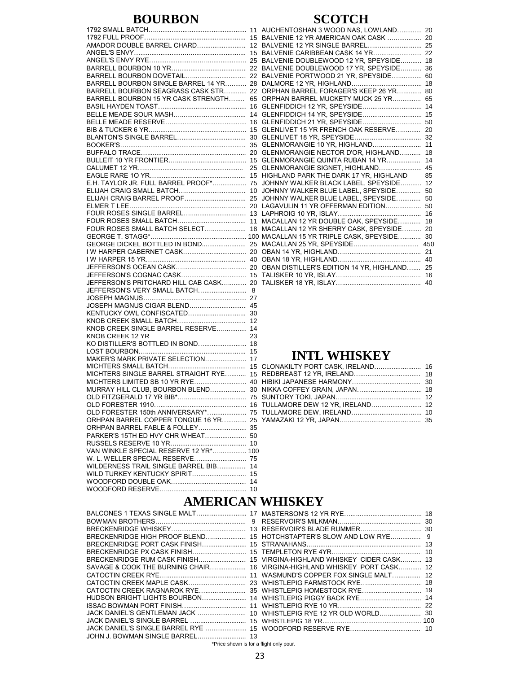#### **BOURBON**

|                                        | 15 |
|----------------------------------------|----|
| AMADOR DOUBLE BARREL CHARD             | 12 |
|                                        | 15 |
|                                        |    |
|                                        |    |
|                                        |    |
| BARRELL BOURBON SINGLE BARREL 14 YR 28 |    |
| BARRELL BOURBON SEAGRASS CASK STR 22   |    |
| BARRELL BOURBON 15 YR CASK STRENGTH    | 65 |
|                                        | 16 |
|                                        | 14 |
|                                        |    |
|                                        | 16 |
|                                        | 15 |
|                                        | 30 |
|                                        | 35 |
|                                        | 20 |
|                                        | 15 |
|                                        | 25 |
|                                        | 15 |
| E.H. TAYLOR JR. FULL BARREL PROOF*     | 75 |
|                                        | 10 |
| ELIJAH CRAIG BARREL PROOF              | 25 |
|                                        |    |
|                                        |    |
|                                        | 11 |
| FOUR ROSES SMALL BATCH SELECT          | 18 |
|                                        |    |
|                                        |    |
|                                        |    |
|                                        | 40 |
|                                        |    |
|                                        |    |
| JEFFERSON'S PRITCHARD HILL CAB CASK 20 |    |
| JEFFERSON'S VERY SMALL BATCH 8         |    |
|                                        |    |
|                                        |    |
| JOSEPH MAGNUS CIGAR BLEND 45           |    |
| KENTUCKY OWL CONFISCATED               | 30 |
|                                        | 12 |
| KNOB CREEK SINGLE BARREL RESERVE       | 14 |
| KNOB CREEK 12 YR                       | 23 |
| KO DISTILLER'S BOTTLED IN BOND 18      |    |
|                                        | 15 |
| MAKER'S MARK PRIVATE SELECTION         | 17 |
|                                        | 15 |
| MICHTERS SINGLE BARREL STRAIGHT RYE    | 15 |
|                                        |    |
| MURRAY HILL CLUB, BOURBON BLEND 30     |    |
|                                        |    |
|                                        | 16 |
| OLD FORESTER 150th ANNIVERSARY*        | 75 |
| ORHPAN BARREL COPPER TONGUE 16 YR 25   |    |
|                                        |    |
| PARKER'S 15TH ED HVY CHR WHEAT 50      |    |
|                                        | 10 |
| VAN WINKLE SPECIAL RESERVE 12 YR* 100  |    |
| W. L. WELLER SPECIAL RESERVE 75        |    |
| WILDERNESS TRAIL SINGLE BARREL BIB     | 14 |
| WILD TURKEY KENTUCKY SPIRIT            |    |
|                                        | 15 |
|                                        | 14 |
|                                        |    |

| 1            | AUCHENTOSHAN 3 WOOD NAS, LOWLAND 20         |     |
|--------------|---------------------------------------------|-----|
| 5            |                                             |     |
| 2            | BALVENIE 12 YR SINGLE BARREL 25             |     |
| 5            |                                             |     |
| :5           | BALVENIE DOUBLEWOOD 12 YR, SPEYSIDE 18      |     |
| 22           | BALVENIE DOUBLEWOOD 17 YR. SPEYSIDE 36      |     |
| :2           | BALVENIE PORTWOOD 21 YR, SPEYSIDE           | 60  |
| :8           |                                             |     |
| 22           | ORPHAN BARREL FORAGER'S KEEP 26 YR 80       |     |
| 55           | ORPHAN BARREL MUCKETY MUCK 25 YR            | 65  |
| 6            | GLENFIDDICH 12 YR, SPEYSIDE 14              |     |
| 4            |                                             |     |
| 6            |                                             |     |
| 5            | GLENLIVET 15 YR FRENCH OAK RESERVE 20       |     |
| 80           |                                             |     |
| 35           | GLENMORANGIE 10 YR, HIGHLAND 11             |     |
| :0           | GLENMORANGIE NECTOR D'OR, HIGHLAND 18       |     |
| 5            | GLENMORANGIE QUINTA RUBAN 14 YR 14          |     |
| :5           |                                             |     |
| 5            | HIGHLAND PARK THE DARK 17 YR, HIGHLAND      | 85  |
| Έ            | JOHNNY WALKER BLACK LABEL, SPEYSIDE 12      |     |
| 0            | JOHNNY WALKER BLUE LABEL, SPEYSIDE          | 50  |
| :5           | JOHNNY WALKER BLUE LABEL, SPEYSIDE          | 50  |
| 20           | LAGAVULIN 11 YR OFFERMAN EDITION 50         |     |
| 3            |                                             |     |
| $\mathbf{1}$ | MACALLAN 12 YR DOUBLE OAK, SPEYSIDE 18      |     |
| 8            | MACALLAN 12 YR SHERRY CASK, SPEYSIDE 20     |     |
|              | 00 MACALLAN 15 YR TRIPLE CASK, SPEYSIDE     | 30  |
| :5           |                                             | 450 |
| 20           |                                             |     |
| ŀ0           |                                             |     |
| 20           | OBAN DISTILLER'S EDITION 14 YR. HIGHLAND 25 |     |
| 5            |                                             |     |
|              |                                             | 40  |
|              |                                             |     |

#### **INTL WHISKEY**

#### **AMERICAN WHISKEY**

|                                 | SAVAGE & COOK THE BURNING CHAIR 16 VIRGINA-HIGHLAND WHISKEY PORT CASK 12 |  |
|---------------------------------|--------------------------------------------------------------------------|--|
|                                 |                                                                          |  |
|                                 |                                                                          |  |
|                                 |                                                                          |  |
|                                 |                                                                          |  |
|                                 |                                                                          |  |
|                                 |                                                                          |  |
|                                 |                                                                          |  |
|                                 |                                                                          |  |
| JOHN J. BOWMAN SINGLE BARREL 13 |                                                                          |  |

\*Price shown is for a flight only pour.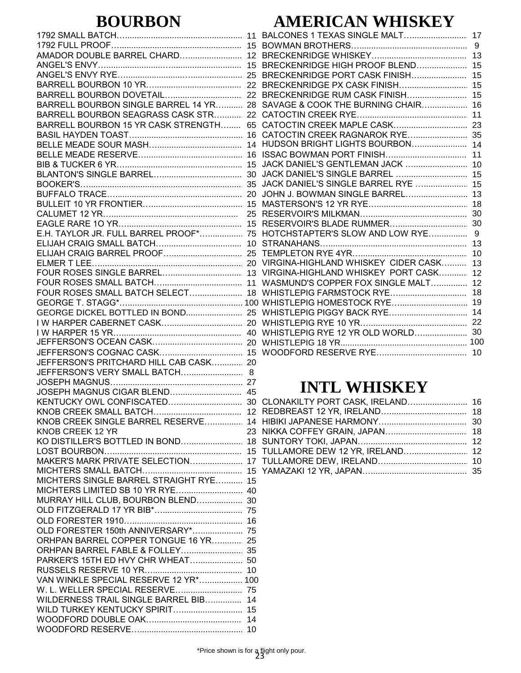#### **BOURBON**

|                                        | 15              |
|----------------------------------------|-----------------|
| AMADOR DOUBLE BARREL CHARD             | 12              |
|                                        |                 |
|                                        |                 |
|                                        |                 |
|                                        |                 |
|                                        |                 |
|                                        | 22              |
| BARRELL BOURBON SINGLE BARREL 14 YR 28 |                 |
|                                        |                 |
| BARRELL BOURBON SEAGRASS CASK STR 22   |                 |
| BARRELL BOURBON 15 YR CASK STRENGTH    | 65              |
|                                        |                 |
|                                        |                 |
|                                        |                 |
|                                        |                 |
|                                        | 15              |
|                                        |                 |
|                                        | 30              |
|                                        | 35              |
|                                        |                 |
|                                        |                 |
|                                        |                 |
|                                        | 25              |
|                                        | 15              |
|                                        |                 |
| E.H. TAYLOR JR. FULL BARREL PROOF* 75  |                 |
|                                        | 10              |
|                                        |                 |
|                                        |                 |
|                                        |                 |
|                                        |                 |
|                                        |                 |
|                                        |                 |
| FOUR ROSES SMALL BATCH SELECT 18       |                 |
|                                        |                 |
|                                        |                 |
|                                        |                 |
|                                        |                 |
|                                        |                 |
|                                        |                 |
|                                        |                 |
|                                        |                 |
| JEFFERSON'S PRITCHARD HILL CAB CASK 20 |                 |
|                                        |                 |
| JEFFERSON'S VERY SMALL BATCH 8         |                 |
|                                        |                 |
| JOSEPH MAGNUS CIGAR BLEND 45           |                 |
|                                        |                 |
|                                        |                 |
|                                        |                 |
| KNOB CREEK SINGLE BARREL RESERVE 14    |                 |
|                                        |                 |
| KNOB CREEK 12 YR                       | 23              |
| KO DISTILLER'S BOTTLED IN BOND 18      |                 |
|                                        | 15              |
|                                        |                 |
| MAKER'S MARK PRIVATE SELECTION         | 17              |
|                                        |                 |
| MICHTERS SINGLE BARREL STRAIGHT RYE 15 |                 |
|                                        |                 |
|                                        |                 |
| MURRAY HILL CLUB, BOURBON BLEND 30     |                 |
|                                        |                 |
|                                        |                 |
|                                        | 16              |
| OLD FORESTER 150th ANNIVERSARY* 75     |                 |
|                                        |                 |
| ORHPAN BARREL COPPER TONGUE 16 YR 25   |                 |
|                                        |                 |
| PARKER'S 15TH ED HVY CHR WHEAT 50      |                 |
|                                        |                 |
|                                        |                 |
| VAN WINKLE SPECIAL RESERVE 12 YR* 100  |                 |
|                                        |                 |
|                                        |                 |
| WILDERNESS TRAIL SINGLE BARREL BIB 14  |                 |
| WILD TURKEY KENTUCKY SPIRIT 15         |                 |
|                                        |                 |
|                                        |                 |
|                                        | 10 <sup>1</sup> |

#### **AMERICAN WHISKEY**

|                                     | 13 |
|-------------------------------------|----|
| BRECKENRIDGE HIGH PROOF BLEND 15    |    |
| BRECKENRIDGE PORT CASK FINISH       | 15 |
|                                     |    |
| BRECKENRIDGE RUM CASK FINISH        | 15 |
| SAVAGE & COOK THE BURNING CHAIR 16  |    |
|                                     |    |
|                                     |    |
|                                     |    |
| HUDSON BRIGHT LIGHTS BOURBON 14     |    |
|                                     | 11 |
| JACK DANIEL'S GENTLEMAN JACK  10    |    |
| JACK DANIEL'S SINGLE BARREL  15     |    |
| JACK DANIEL'S SINGLE BARREL RYE  15 |    |
|                                     |    |
|                                     |    |
|                                     | 30 |
|                                     |    |
|                                     |    |
|                                     | 13 |
|                                     | 10 |
| VIRGINA-HIGHLAND WHISKEY CIDER CASK | 13 |
| VIRGINA-HIGHLAND WHISKEY PORT CASK  | 12 |
| WASMUND'S COPPER FOX SINGLE MALT    | 12 |
|                                     |    |
|                                     |    |
|                                     |    |
|                                     |    |
|                                     |    |
|                                     |    |
|                                     |    |
|                                     |    |

#### **INTL WHISKEY**

| CLONAKILTY PORT CASK, IRELAND 16 |  |
|----------------------------------|--|
|                                  |  |
|                                  |  |
|                                  |  |
|                                  |  |
|                                  |  |
|                                  |  |
|                                  |  |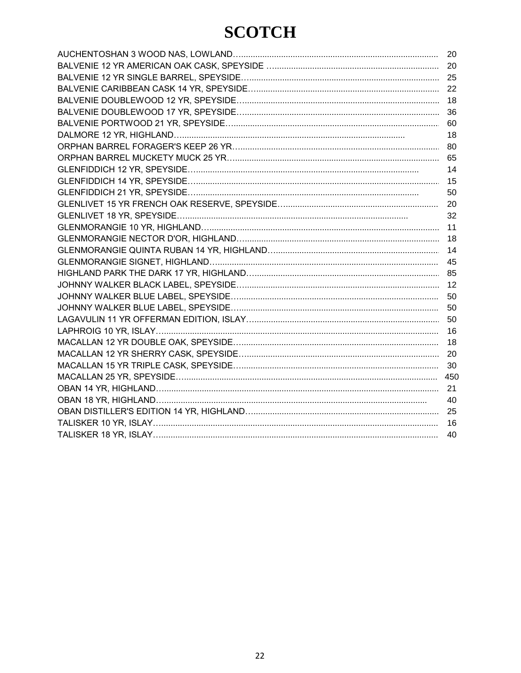## **SCOTCH**

| 20  |
|-----|
| 20  |
|     |
| 22  |
| 18  |
| 36  |
| 60  |
| 18  |
| 80  |
| 65  |
| 14  |
| 15  |
| 50  |
| 20  |
| 32  |
| 11  |
| 18  |
| 14  |
| 45  |
|     |
| 12  |
| 50  |
| 50  |
| 50  |
| 16  |
| 18  |
| 20  |
| 30  |
| 450 |
| 21  |
| 40  |
| 25  |
| 16  |
| 40  |